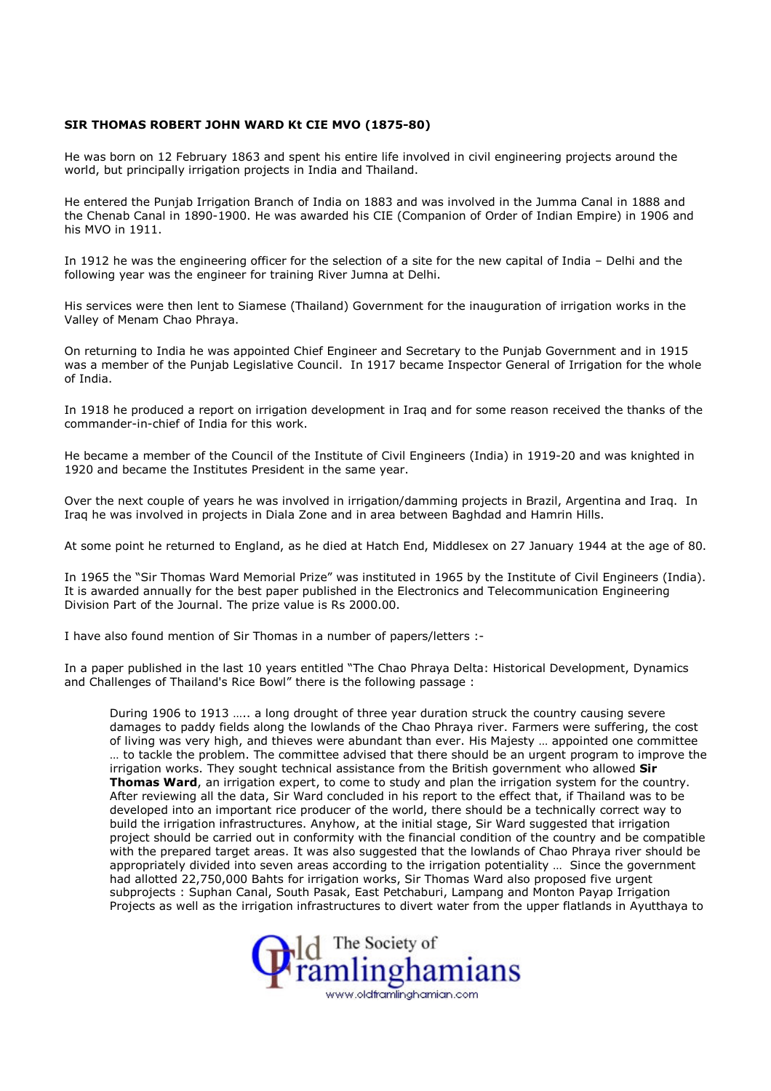## SIR THOMAS ROBERT JOHN WARD Kt CIE MVO (1875-80)

He was born on 12 February 1863 and spent his entire life involved in civil engineering projects around the world, but principally irrigation projects in India and Thailand.

He entered the Punjab Irrigation Branch of India on 1883 and was involved in the Jumma Canal in 1888 and the Chenab Canal in 1890-1900. He was awarded his CIE (Companion of Order of Indian Empire) in 1906 and his MVO in 1911.

In 1912 he was the engineering officer for the selection of a site for the new capital of India – Delhi and the following year was the engineer for training River Jumna at Delhi.

His services were then lent to Siamese (Thailand) Government for the inauguration of irrigation works in the Valley of Menam Chao Phraya.

On returning to India he was appointed Chief Engineer and Secretary to the Punjab Government and in 1915 was a member of the Punjab Legislative Council. In 1917 became Inspector General of Irrigation for the whole of India.

In 1918 he produced a report on irrigation development in Iraq and for some reason received the thanks of the commander-in-chief of India for this work.

He became a member of the Council of the Institute of Civil Engineers (India) in 1919-20 and was knighted in 1920 and became the Institutes President in the same year.

Over the next couple of years he was involved in irrigation/damming projects in Brazil, Argentina and Iraq. In Iraq he was involved in projects in Diala Zone and in area between Baghdad and Hamrin Hills.

At some point he returned to England, as he died at Hatch End, Middlesex on 27 January 1944 at the age of 80.

In 1965 the "Sir Thomas Ward Memorial Prize" was instituted in 1965 by the Institute of Civil Engineers (India). It is awarded annually for the best paper published in the Electronics and Telecommunication Engineering Division Part of the Journal. The prize value is Rs 2000.00.

I have also found mention of Sir Thomas in a number of papers/letters :-

In a paper published in the last 10 years entitled "The Chao Phraya Delta: Historical Development, Dynamics and Challenges of Thailand's Rice Bowl" there is the following passage :

During 1906 to 1913 ….. a long drought of three year duration struck the country causing severe damages to paddy fields along the lowlands of the Chao Phraya river. Farmers were suffering, the cost of living was very high, and thieves were abundant than ever. His Majesty … appointed one committee … to tackle the problem. The committee advised that there should be an urgent program to improve the irrigation works. They sought technical assistance from the British government who allowed Sir Thomas Ward, an irrigation expert, to come to study and plan the irrigation system for the country. After reviewing all the data, Sir Ward concluded in his report to the effect that, if Thailand was to be developed into an important rice producer of the world, there should be a technically correct way to build the irrigation infrastructures. Anyhow, at the initial stage, Sir Ward suggested that irrigation project should be carried out in conformity with the financial condition of the country and be compatible with the prepared target areas. It was also suggested that the lowlands of Chao Phraya river should be appropriately divided into seven areas according to the irrigation potentiality … Since the government had allotted 22,750,000 Bahts for irrigation works, Sir Thomas Ward also proposed five urgent subprojects : Suphan Canal, South Pasak, East Petchaburi, Lampang and Monton Payap Irrigation Projects as well as the irrigation infrastructures to divert water from the upper flatlands in Ayutthaya to

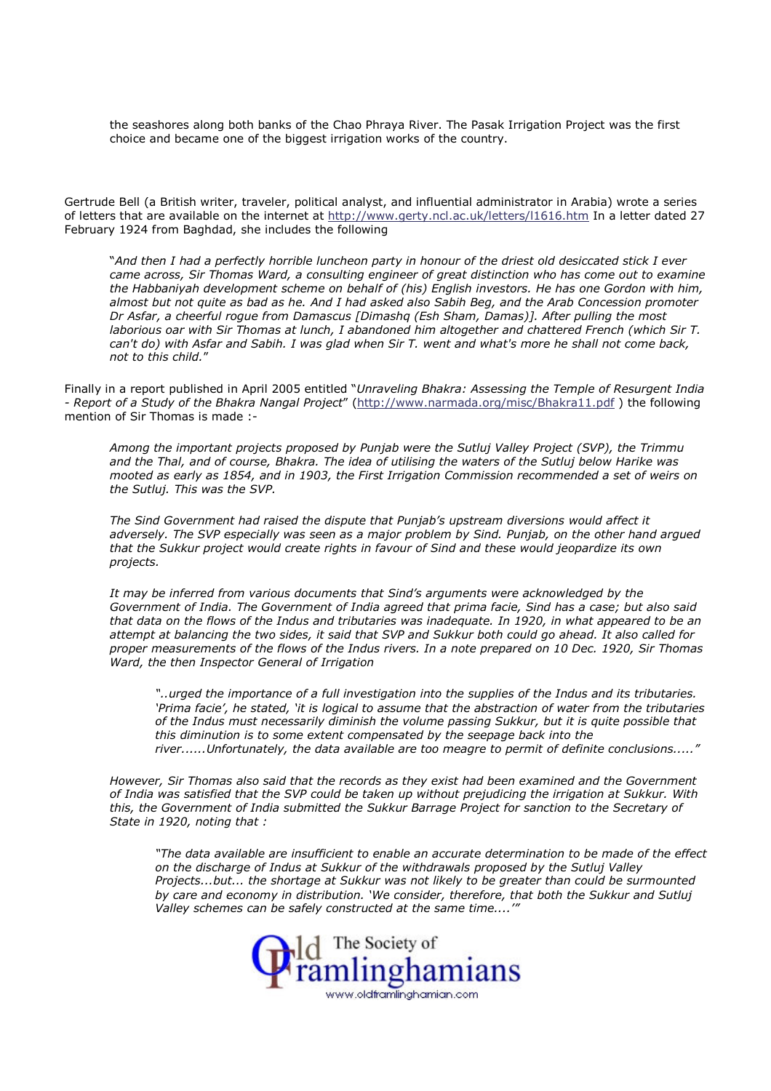the seashores along both banks of the Chao Phraya River. The Pasak Irrigation Project was the first choice and became one of the biggest irrigation works of the country.

Gertrude Bell (a British writer, traveler, political analyst, and influential administrator in Arabia) wrote a series of letters that are available on the internet at http://www.gerty.ncl.ac.uk/letters/l1616.htm In a letter dated 27 February 1924 from Baghdad, she includes the following

"And then I had a perfectly horrible luncheon party in honour of the driest old desiccated stick I ever came across, Sir Thomas Ward, a consulting engineer of great distinction who has come out to examine the Habbaniyah development scheme on behalf of (his) English investors. He has one Gordon with him, almost but not quite as bad as he. And I had asked also Sabih Beg, and the Arab Concession promoter Dr Asfar, a cheerful rogue from Damascus [Dimashq (Esh Sham, Damas)]. After pulling the most laborious oar with Sir Thomas at lunch, I abandoned him altogether and chattered French (which Sir T. can't do) with Asfar and Sabih. I was glad when Sir T. went and what's more he shall not come back, not to this child."

Finally in a report published in April 2005 entitled "Unraveling Bhakra: Assessing the Temple of Resurgent India - Report of a Study of the Bhakra Nangal Project" (http://www.narmada.org/misc/Bhakra11.pdf ) the following mention of Sir Thomas is made :-

Among the important projects proposed by Punjab were the Sutluj Valley Project (SVP), the Trimmu and the Thal, and of course, Bhakra. The idea of utilising the waters of the Sutluj below Harike was mooted as early as 1854, and in 1903, the First Irrigation Commission recommended a set of weirs on the Sutluj. This was the SVP.

The Sind Government had raised the dispute that Punjab's upstream diversions would affect it adversely. The SVP especially was seen as a major problem by Sind. Punjab, on the other hand argued that the Sukkur project would create rights in favour of Sind and these would jeopardize its own projects.

It may be inferred from various documents that Sind's arguments were acknowledged by the Government of India. The Government of India agreed that prima facie, Sind has a case; but also said that data on the flows of the Indus and tributaries was inadequate. In 1920, in what appeared to be an attempt at balancing the two sides, it said that SVP and Sukkur both could go ahead. It also called for proper measurements of the flows of the Indus rivers. In a note prepared on 10 Dec. 1920, Sir Thomas Ward, the then Inspector General of Irrigation

"..urged the importance of a full investigation into the supplies of the Indus and its tributaries. 'Prima facie', he stated, 'it is logical to assume that the abstraction of water from the tributaries of the Indus must necessarily diminish the volume passing Sukkur, but it is quite possible that this diminution is to some extent compensated by the seepage back into the river......Unfortunately, the data available are too meagre to permit of definite conclusions....."

However, Sir Thomas also said that the records as they exist had been examined and the Government of India was satisfied that the SVP could be taken up without prejudicing the irrigation at Sukkur. With this, the Government of India submitted the Sukkur Barrage Project for sanction to the Secretary of State in 1920, noting that :

"The data available are insufficient to enable an accurate determination to be made of the effect on the discharge of Indus at Sukkur of the withdrawals proposed by the Sutluj Valley Projects...but... the shortage at Sukkur was not likely to be greater than could be surmounted by care and economy in distribution. 'We consider, therefore, that both the Sukkur and Sutluj Valley schemes can be safely constructed at the same time....'